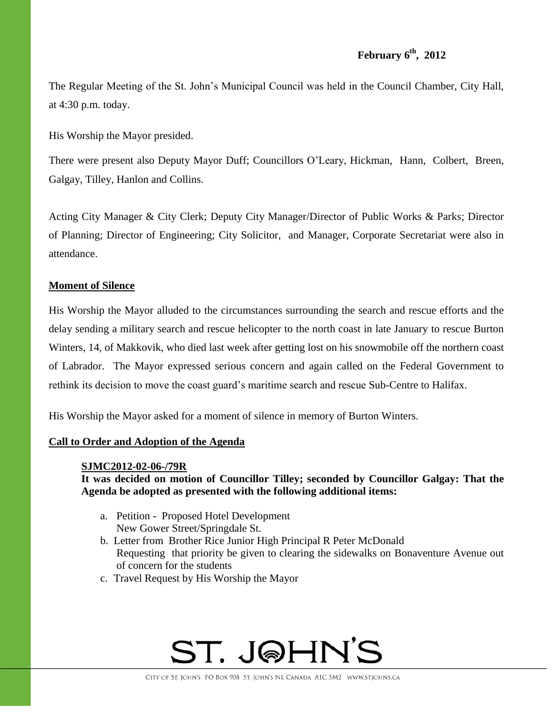# **February 6th , 2012**

The Regular Meeting of the St. John's Municipal Council was held in the Council Chamber, City Hall, at 4:30 p.m. today.

His Worship the Mayor presided.

There were present also Deputy Mayor Duff; Councillors O'Leary, Hickman, Hann, Colbert, Breen, Galgay, Tilley, Hanlon and Collins.

Acting City Manager & City Clerk; Deputy City Manager/Director of Public Works & Parks; Director of Planning; Director of Engineering; City Solicitor, and Manager, Corporate Secretariat were also in attendance.

### **Moment of Silence**

His Worship the Mayor alluded to the circumstances surrounding the search and rescue efforts and the delay sending a military search and rescue helicopter to the north coast in late January to rescue Burton Winters, 14, of Makkovik, who died last week after getting lost on his snowmobile off the northern coast of Labrador. The Mayor expressed serious concern and again called on the Federal Government to rethink its decision to move the coast guard's maritime search and rescue Sub-Centre to Halifax.

His Worship the Mayor asked for a moment of silence in memory of Burton Winters.

### **Call to Order and Adoption of the Agenda**

### **SJMC2012-02-06-/79R**

**It was decided on motion of Councillor Tilley; seconded by Councillor Galgay: That the Agenda be adopted as presented with the following additional items:**

- a. Petition Proposed Hotel Development New Gower Street/Springdale St.
- b. Letter from Brother Rice Junior High Principal R Peter McDonald Requesting that priority be given to clearing the sidewalks on Bonaventure Avenue out of concern for the students
- c. Travel Request by His Worship the Mayor

# ST. J@HN'S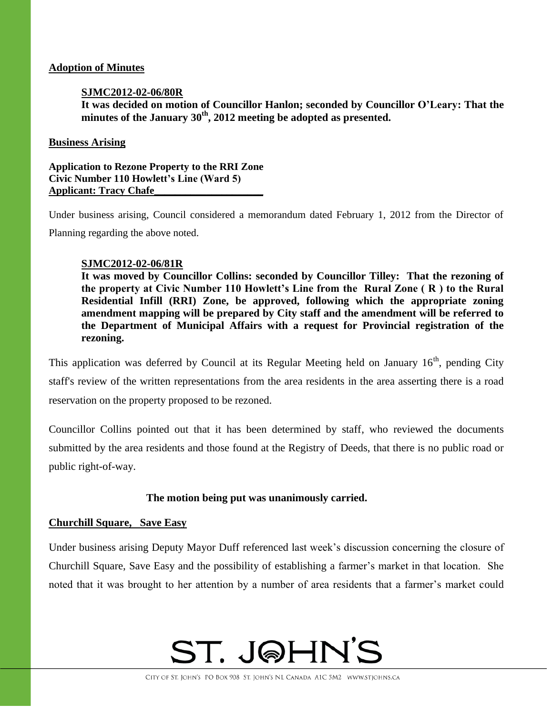### **Adoption of Minutes**

### **SJMC2012-02-06/80R**

**It was decided on motion of Councillor Hanlon; seconded by Councillor O'Leary: That the minutes of the January 30th , 2012 meeting be adopted as presented.**

### **Business Arising**

**Application to Rezone Property to the RRI Zone Civic Number 110 Howlett's Line (Ward 5) Applicant: Tracy Chafe\_\_\_\_\_\_\_\_\_\_\_\_\_\_\_\_\_\_\_\_\_**

Under business arising, Council considered a memorandum dated February 1, 2012 from the Director of Planning regarding the above noted.

### **SJMC2012-02-06/81R**

**It was moved by Councillor Collins: seconded by Councillor Tilley: That the rezoning of the property at Civic Number 110 Howlett's Line from the Rural Zone ( R ) to the Rural Residential Infill (RRI) Zone, be approved, following which the appropriate zoning amendment mapping will be prepared by City staff and the amendment will be referred to the Department of Municipal Affairs with a request for Provincial registration of the rezoning.** 

This application was deferred by Council at its Regular Meeting held on January  $16<sup>th</sup>$ , pending City staff's review of the written representations from the area residents in the area asserting there is a road reservation on the property proposed to be rezoned.

Councillor Collins pointed out that it has been determined by staff, who reviewed the documents submitted by the area residents and those found at the Registry of Deeds, that there is no public road or public right-of-way.

### **The motion being put was unanimously carried.**

### **Churchill Square, Save Easy**

Under business arising Deputy Mayor Duff referenced last week's discussion concerning the closure of Churchill Square, Save Easy and the possibility of establishing a farmer's market in that location. She noted that it was brought to her attention by a number of area residents that a farmer's market could

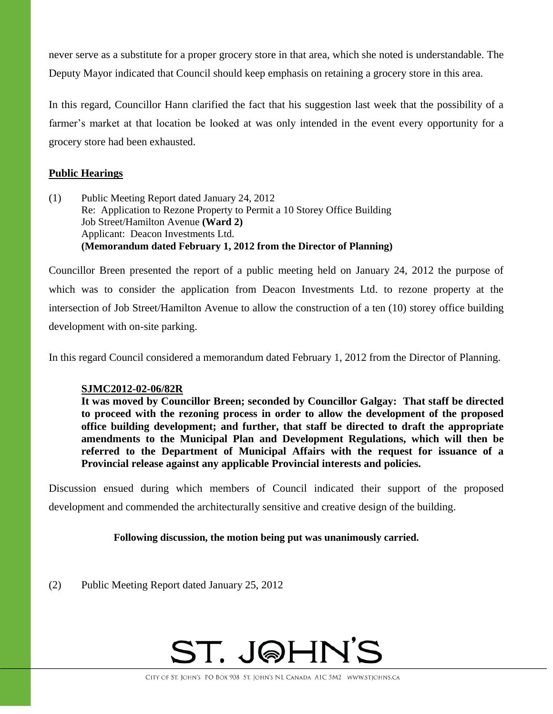never serve as a substitute for a proper grocery store in that area, which she noted is understandable. The Deputy Mayor indicated that Council should keep emphasis on retaining a grocery store in this area.

In this regard, Councillor Hann clarified the fact that his suggestion last week that the possibility of a farmer's market at that location be looked at was only intended in the event every opportunity for a grocery store had been exhausted.

### **Public Hearings**

(1) Public Meeting Report dated January 24, 2012 Re: Application to Rezone Property to Permit a 10 Storey Office Building Job Street/Hamilton Avenue **(Ward 2)** Applicant: Deacon Investments Ltd. **(Memorandum dated February 1, 2012 from the Director of Planning)**

Councillor Breen presented the report of a public meeting held on January 24, 2012 the purpose of which was to consider the application from Deacon Investments Ltd. to rezone property at the intersection of Job Street/Hamilton Avenue to allow the construction of a ten (10) storey office building development with on-site parking.

In this regard Council considered a memorandum dated February 1, 2012 from the Director of Planning.

### **SJMC2012-02-06/82R**

**It was moved by Councillor Breen; seconded by Councillor Galgay: That staff be directed to proceed with the rezoning process in order to allow the development of the proposed office building development; and further, that staff be directed to draft the appropriate amendments to the Municipal Plan and Development Regulations, which will then be referred to the Department of Municipal Affairs with the request for issuance of a Provincial release against any applicable Provincial interests and policies.**

Discussion ensued during which members of Council indicated their support of the proposed development and commended the architecturally sensitive and creative design of the building.

### **Following discussion, the motion being put was unanimously carried.**

(2) Public Meeting Report dated January 25, 2012

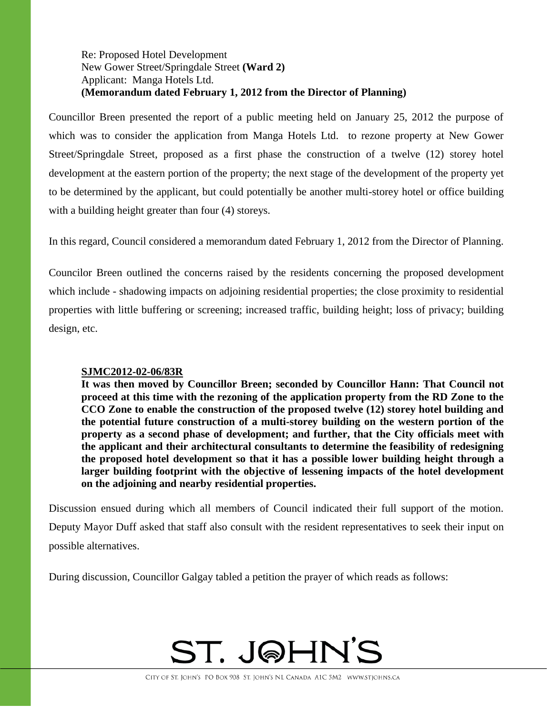### Re: Proposed Hotel Development New Gower Street/Springdale Street **(Ward 2)** Applicant: Manga Hotels Ltd. **(Memorandum dated February 1, 2012 from the Director of Planning)**

Councillor Breen presented the report of a public meeting held on January 25, 2012 the purpose of which was to consider the application from Manga Hotels Ltd. to rezone property at New Gower Street/Springdale Street, proposed as a first phase the construction of a twelve (12) storey hotel development at the eastern portion of the property; the next stage of the development of the property yet to be determined by the applicant, but could potentially be another multi-storey hotel or office building with a building height greater than four (4) storeys.

In this regard, Council considered a memorandum dated February 1, 2012 from the Director of Planning.

Councilor Breen outlined the concerns raised by the residents concerning the proposed development which include - shadowing impacts on adjoining residential properties; the close proximity to residential properties with little buffering or screening; increased traffic, building height; loss of privacy; building design, etc.

### **SJMC2012-02-06/83R**

**It was then moved by Councillor Breen; seconded by Councillor Hann: That Council not proceed at this time with the rezoning of the application property from the RD Zone to the CCO Zone to enable the construction of the proposed twelve (12) storey hotel building and the potential future construction of a multi-storey building on the western portion of the property as a second phase of development; and further, that the City officials meet with the applicant and their architectural consultants to determine the feasibility of redesigning the proposed hotel development so that it has a possible lower building height through a larger building footprint with the objective of lessening impacts of the hotel development on the adjoining and nearby residential properties.** 

Discussion ensued during which all members of Council indicated their full support of the motion.

Deputy Mayor Duff asked that staff also consult with the resident representatives to seek their input on possible alternatives.

During discussion, Councillor Galgay tabled a petition the prayer of which reads as follows:

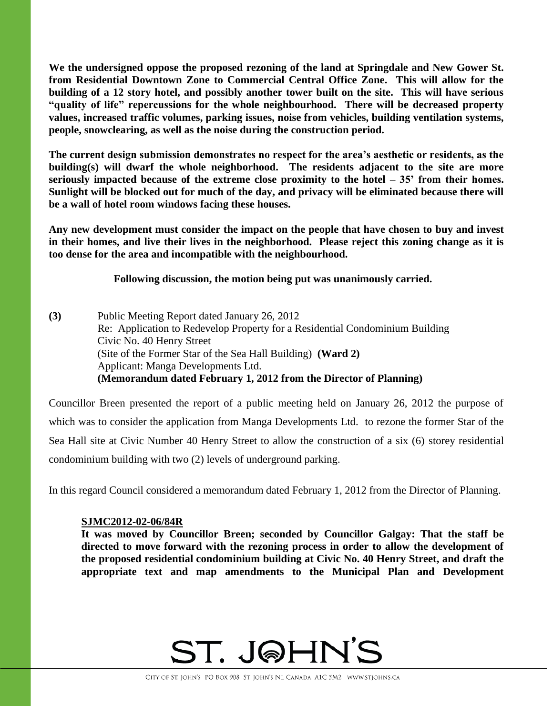**We the undersigned oppose the proposed rezoning of the land at Springdale and New Gower St. from Residential Downtown Zone to Commercial Central Office Zone. This will allow for the building of a 12 story hotel, and possibly another tower built on the site. This will have serious "quality of life" repercussions for the whole neighbourhood. There will be decreased property values, increased traffic volumes, parking issues, noise from vehicles, building ventilation systems, people, snowclearing, as well as the noise during the construction period.**

**The current design submission demonstrates no respect for the area's aesthetic or residents, as the building(s) will dwarf the whole neighborhood. The residents adjacent to the site are more seriously impacted because of the extreme close proximity to the hotel – 35' from their homes. Sunlight will be blocked out for much of the day, and privacy will be eliminated because there will be a wall of hotel room windows facing these houses.**

**Any new development must consider the impact on the people that have chosen to buy and invest in their homes, and live their lives in the neighborhood. Please reject this zoning change as it is too dense for the area and incompatible with the neighbourhood.**

**Following discussion, the motion being put was unanimously carried.** 

**(3)** Public Meeting Report dated January 26, 2012 Re: Application to Redevelop Property for a Residential Condominium Building Civic No. 40 Henry Street (Site of the Former Star of the Sea Hall Building) **(Ward 2)**  Applicant: Manga Developments Ltd. **(Memorandum dated February 1, 2012 from the Director of Planning)**

Councillor Breen presented the report of a public meeting held on January 26, 2012 the purpose of which was to consider the application from Manga Developments Ltd. to rezone the former Star of the Sea Hall site at Civic Number 40 Henry Street to allow the construction of a six (6) storey residential condominium building with two (2) levels of underground parking.

In this regard Council considered a memorandum dated February 1, 2012 from the Director of Planning.

### **SJMC2012-02-06/84R**

**It was moved by Councillor Breen; seconded by Councillor Galgay: That the staff be directed to move forward with the rezoning process in order to allow the development of the proposed residential condominium building at Civic No. 40 Henry Street, and draft the appropriate text and map amendments to the Municipal Plan and Development** 

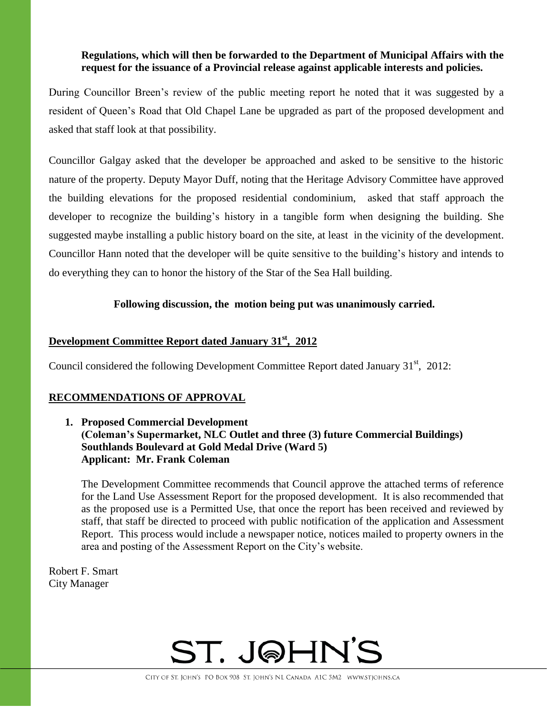### **Regulations, which will then be forwarded to the Department of Municipal Affairs with the request for the issuance of a Provincial release against applicable interests and policies.**

During Councillor Breen's review of the public meeting report he noted that it was suggested by a resident of Queen's Road that Old Chapel Lane be upgraded as part of the proposed development and asked that staff look at that possibility.

Councillor Galgay asked that the developer be approached and asked to be sensitive to the historic nature of the property. Deputy Mayor Duff, noting that the Heritage Advisory Committee have approved the building elevations for the proposed residential condominium, asked that staff approach the developer to recognize the building's history in a tangible form when designing the building. She suggested maybe installing a public history board on the site, at least in the vicinity of the development. Councillor Hann noted that the developer will be quite sensitive to the building's history and intends to do everything they can to honor the history of the Star of the Sea Hall building.

### **Following discussion, the motion being put was unanimously carried.**

# **Development Committee Report dated January 31st , 2012**

Council considered the following Development Committee Report dated January  $31<sup>st</sup>$ , 2012:

### **RECOMMENDATIONS OF APPROVAL**

**1. Proposed Commercial Development (Coleman's Supermarket, NLC Outlet and three (3) future Commercial Buildings) Southlands Boulevard at Gold Medal Drive (Ward 5) Applicant: Mr. Frank Coleman**

The Development Committee recommends that Council approve the attached terms of reference for the Land Use Assessment Report for the proposed development. It is also recommended that as the proposed use is a Permitted Use, that once the report has been received and reviewed by staff, that staff be directed to proceed with public notification of the application and Assessment Report. This process would include a newspaper notice, notices mailed to property owners in the area and posting of the Assessment Report on the City's website.

Robert F. Smart City Manager

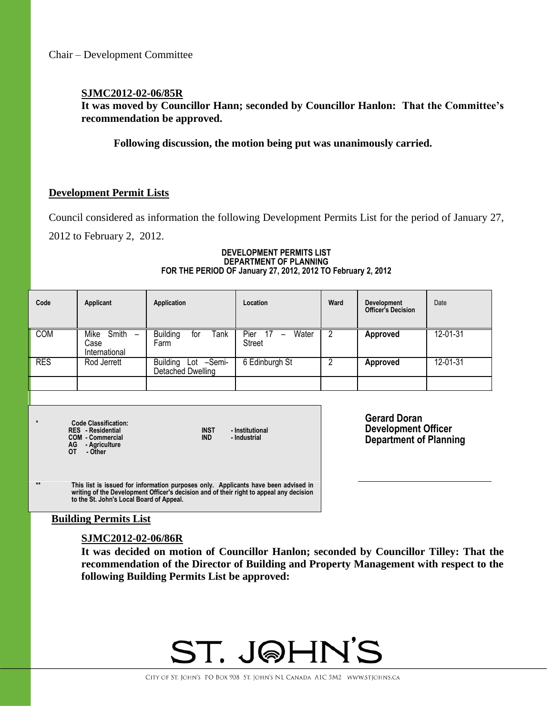### **SJMC2012-02-06/85R**

**It was moved by Councillor Hann; seconded by Councillor Hanlon: That the Committee's recommendation be approved.**

**Following discussion, the motion being put was unanimously carried.**

### **Development Permit Lists**

Council considered as information the following Development Permits List for the period of January 27,

2012 to February 2, 2012.

### **DEVELOPMENT PERMITS LIST DEPARTMENT OF PLANNING FOR THE PERIOD OF January 27, 2012, 2012 TO February 2, 2012**

| Code                                                                                                                                                               | Applicant                              | Application                              | Location                        | Ward                     | <b>Development</b><br><b>Officer's Decision</b>                                    | Date     |
|--------------------------------------------------------------------------------------------------------------------------------------------------------------------|----------------------------------------|------------------------------------------|---------------------------------|--------------------------|------------------------------------------------------------------------------------|----------|
| <b>COM</b>                                                                                                                                                         | Mike<br>Smith<br>Case<br>International | <b>Building</b><br>Tank<br>tor<br>Farm   | Pier<br>Water<br>Street         | $\overline{\phantom{a}}$ | <b>Approved</b>                                                                    | 12-01-31 |
| <b>RES</b>                                                                                                                                                         | Rod Jerrett                            | Building Lot -Semi-<br>Detached Dwelling | 6 Edinburgh St                  | 2                        | Approved                                                                           | 12-01-31 |
|                                                                                                                                                                    |                                        |                                          |                                 |                          |                                                                                    |          |
|                                                                                                                                                                    |                                        |                                          |                                 |                          |                                                                                    |          |
| $\star$<br><b>Code Classification:</b><br><b>INST</b><br><b>RES</b> - Residential<br><b>IND</b><br><b>COM - Commercial</b><br>AG<br>- Agriculture<br>OT<br>- Other |                                        |                                          | - Institutional<br>- Industrial |                          | <b>Gerard Doran</b><br><b>Development Officer</b><br><b>Department of Planning</b> |          |

**\*\* This list is issued for information purposes only. Applicants have been advised in writing of the Development Officer's decision and of their right to appeal any decision to the St. John's Local Board of Appeal.**

### **Building Permits List**

### **SJMC2012-02-06/86R**

**It was decided on motion of Councillor Hanlon; seconded by Councillor Tilley: That the recommendation of the Director of Building and Property Management with respect to the following Building Permits List be approved:** 

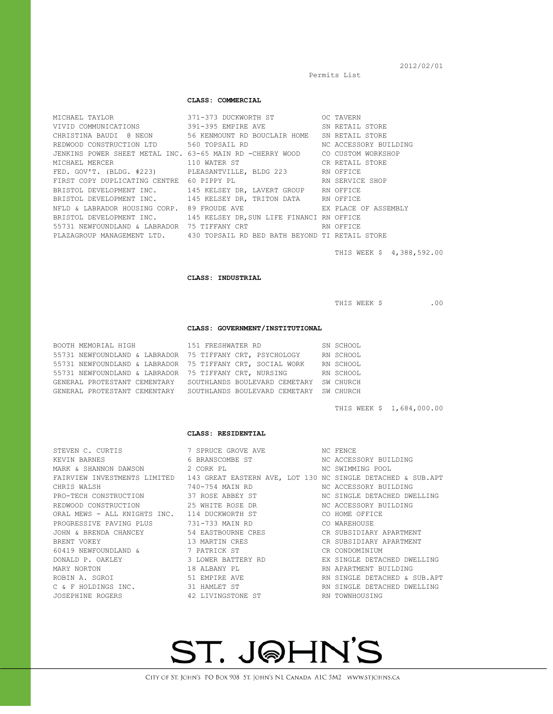Permits List

### 2012/02/01

#### **CLASS: COMMERCIAL**

| MICHAEL TAYLOR THE STATE OF THE STATE OF THE STATE OF THE STATE OF THE STATE OF THE STATE OF THE STATE OF THE | 371-373 DUCKWORTH ST                                                         | OC TAVERN             |
|---------------------------------------------------------------------------------------------------------------|------------------------------------------------------------------------------|-----------------------|
|                                                                                                               | VIVID COMMUNICATIONS 391-395 EMPIRE AVE SN RETAIL STORE                      |                       |
|                                                                                                               | CHRISTINA BAUDI @ NEON 56 KENMOUNT RD BOUCLAIR HOME SN RETAIL STORE          |                       |
| REDWOOD CONSTRUCTION LTD 560 TOPSAIL RD                                                                       |                                                                              | NC ACCESSORY BUILDING |
|                                                                                                               | JENKINS POWER SHEET METAL INC. 63-65 MAIN RD -CHERRY WOOD CO CUSTOM WORKSHOP |                       |
| MICHAEL MERCER 110 WATER ST                                                                                   |                                                                              | CR RETAIL STORE       |
|                                                                                                               | FED. GOV'T. (BLDG. #223) PLEASANTVILLE, BLDG 223 RN OFFICE                   |                       |
| FIRST COPY DUPLICATING CENTRE 60 PIPPY PL                                                                     | RN SERVICE SHOP                                                              |                       |
|                                                                                                               | BRISTOL DEVELOPMENT INC. 145 KELSEY DR, LAVERT GROUP RN OFFICE               |                       |
|                                                                                                               | BRISTOL DEVELOPMENT INC. 145 KELSEY DR, TRITON DATA RN OFFICE                |                       |
|                                                                                                               | NFLD & LABRADOR HOUSING CORP. 89 FROUDE AVE THE SEX PLACE OF ASSEMBLY        |                       |
|                                                                                                               | BRISTOL DEVELOPMENT INC. 145 KELSEY DR, SUN LIFE FINANCI RN OFFICE           |                       |
| 55731 NEWFOUNDLAND & LABRADOR 75 TIFFANY CRT                                                                  |                                                                              | RN OFFICE             |
|                                                                                                               | PLAZAGROUP MANAGEMENT LTD. 430 TOPSAIL RD BED BATH BEYOND TI RETAIL STORE    |                       |

THIS WEEK \$ 4,388,592.00

**CLASS: INDUSTRIAL**

THIS WEEK \$ .00

#### **CLASS: GOVERNMENT/INSTITUTIONAL**

| BOOTH MEMORIAL HIGH          | 151 FRESHWATER RD                                         | SN SCHOOL |
|------------------------------|-----------------------------------------------------------|-----------|
|                              | 55731 NEWFOUNDLAND & LABRADOR 75 TIFFANY CRT, PSYCHOLOGY  | RN SCHOOL |
|                              | 55731 NEWFOUNDLAND & LABRADOR 75 TIFFANY CRT, SOCIAL WORK | RN SCHOOL |
|                              | 55731 NEWFOUNDLAND & LABRADOR 75 TIFFANY CRT, NURSING     | RN SCHOOL |
| GENERAL PROTESTANT CEMENTARY | SOUTHLANDS BOULEVARD CEMETARY SW CHURCH                   |           |
| GENERAL PROTESTANT CEMENTARY | SOUTHLANDS BOULEVARD CEMETARY SW CHURCH                   |           |

THIS WEEK \$ 1,684,000.00

#### **CLASS: RESIDENTIAL**

STEVEN C. CURTIS 7 SPRUCE GROVE AVE NC FENCE 60419 NEWFOUNDLAND & 7 PATRICK ST

### KEVIN BARNES 6 BRANSCOMBE ST NC ACCESSORY BUILDING MARK & SHANNON DAWSON 2 CORK PL 2 NORTH NO SWIMMING POOL FAIRVIEW INVESTMENTS LIMITED 143 GREAT EASTERN AVE, LOT 130 NC SINGLE DETACHED & SUB.APT CHRIS WALSH 740-754 MAIN RD NC ACCESSORY BUILDING<br>PRO-TECH CONSTRUCTION 37 ROSE ABBEY ST NC SINGLE DETACHED DWE PRO-TECH CONSTRUCTION 37 ROSE ABBEY ST NC SINGLE DETACHED DWELLING REDWOOD CONSTRUCTION 25 WHITE ROSE DR NC ACCESSORY BUILDING ORAL MEWS - ALL KNIGHTS INC. 114 DUCKWORTH ST CO HOME OFFICE PROGRESSIVE PAVING PLUS 731-733 MAIN RD CO WAREHOUSE<br>JOHN & BRENDA CHANCEY 54 EASTBOURNE CRES CR SUBSIDIARY JOHN & BRENDA CHANCEY 54 EASTBOURNE CRES CR SUBSIDIARY APARTMENT BRENT VOKEY 13 MARTIN CRES CR SUBSIDIARY APARTMENT DONALD P. OAKLEY 3 LOWER BATTERY RD EX SINGLE DETACHED DWELLING MARY NORTON 18 ALBANY PL RN APARTMENT BUILDING RN SINGLE DETACHED & SUB.APT C & F HOLDINGS INC. 31 HAMLET ST RN SINGLE DETACHED DWELLING JOSEPHINE ROGERS 42 LIVINGSTONE ST RN TOWNHOUSING

# ST. J@HN'S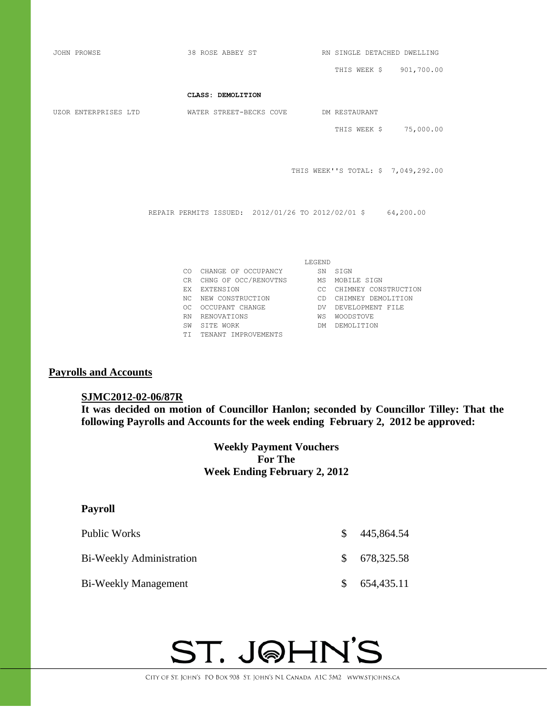| JOHN PROWSE          | 38 ROSE ABBEY ST         |                                       | RN SINGLE DETACHED DWELLING |                                                              |  |
|----------------------|--------------------------|---------------------------------------|-----------------------------|--------------------------------------------------------------|--|
|                      |                          |                                       |                             | THIS WEEK \$ 901,700.00                                      |  |
|                      |                          | CLASS: DEMOLITION                     |                             |                                                              |  |
| UZOR ENTERPRISES LTD |                          | WATER STREET-BECKS COVE DM RESTAURANT |                             |                                                              |  |
|                      |                          |                                       |                             | THIS WEEK \$ 75,000.00                                       |  |
|                      |                          |                                       |                             |                                                              |  |
|                      |                          |                                       |                             | THIS WEEK''S TOTAL: \$7,049,292.00                           |  |
|                      |                          |                                       |                             |                                                              |  |
|                      |                          |                                       |                             |                                                              |  |
|                      |                          |                                       |                             | REPAIR PERMITS ISSUED: 2012/01/26 TO 2012/02/01 \$ 64,200.00 |  |
|                      |                          |                                       |                             |                                                              |  |
|                      |                          |                                       |                             |                                                              |  |
| LEGEND               |                          |                                       |                             |                                                              |  |
|                      |                          | CO CHANGE OF OCCUPANCY SN SIGN        |                             |                                                              |  |
|                      |                          | CR CHNG OF OCC/RENOVTNS               |                             | MS MOBILE SIGN                                               |  |
|                      | EX EXTENSION             |                                       |                             | CC CHIMNEY CONSTRUCTION                                      |  |
|                      | NC                       | NEW CONSTRUCTION                      |                             | CD CHIMNEY DEMOLITION                                        |  |
|                      | OC                       | OCCUPANT CHANGE                       | DV                          | DEVELOPMENT FILE                                             |  |
|                      | RENOVATIONS<br><b>RN</b> |                                       | WS                          | WOODSTOVE                                                    |  |
|                      | SITE WORK<br>SW          |                                       | DM                          | DEMOLITION                                                   |  |

TI TENANT IMPROVEMENTS

### **Payrolls and Accounts**

### **SJMC2012-02-06/87R**

**It was decided on motion of Councillor Hanlon; seconded by Councillor Tilley: That the following Payrolls and Accounts for the week ending February 2, 2012 be approved:** 

> **Weekly Payment Vouchers For The Week Ending February 2, 2012**

# **Payroll**

| Public Works                    | <sup>S</sup> | 445,864.54   |
|---------------------------------|--------------|--------------|
| <b>Bi-Weekly Administration</b> |              | \$678,325.58 |
| Bi-Weekly Management            |              | \$654,435.11 |

# ST. J@HN'S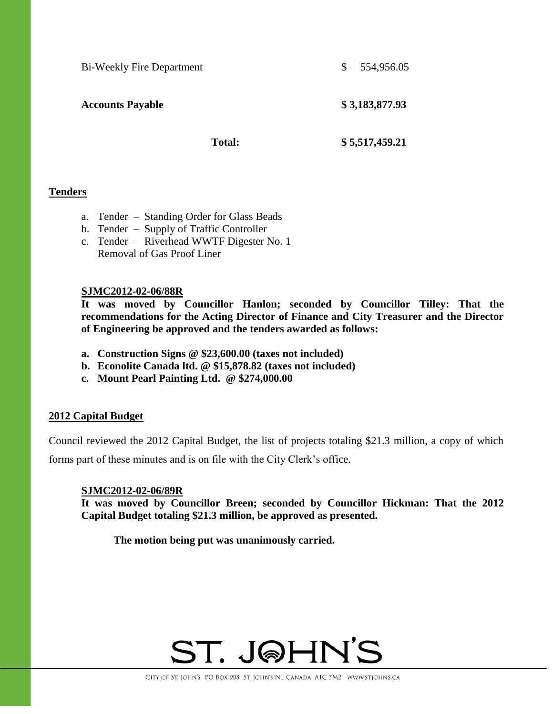Bi-Weekly Fire Department  $$54,956.05$ 

**Accounts Payable \$ 3,183,877.93**

**Total: \$ 5,517,459.21**

### **Tenders**

- a. Tender Standing Order for Glass Beads
- b. Tender Supply of Traffic Controller
- c. Tender Riverhead WWTF Digester No. 1 Removal of Gas Proof Liner

### **SJMC2012-02-06/88R**

**It was moved by Councillor Hanlon; seconded by Councillor Tilley: That the recommendations for the Acting Director of Finance and City Treasurer and the Director of Engineering be approved and the tenders awarded as follows:**

- **a. Construction Signs @ \$23,600.00 (taxes not included)**
- **b. Econolite Canada ltd. @ \$15,878.82 (taxes not included)**
- **c. Mount Pearl Painting Ltd. @ \$274,000.00**

### **2012 Capital Budget**

Council reviewed the 2012 Capital Budget, the list of projects totaling \$21.3 million, a copy of which forms part of these minutes and is on file with the City Clerk's office.

### **SJMC2012-02-06/89R**

**It was moved by Councillor Breen; seconded by Councillor Hickman: That the 2012 Capital Budget totaling \$21.3 million, be approved as presented.**

**The motion being put was unanimously carried.** 

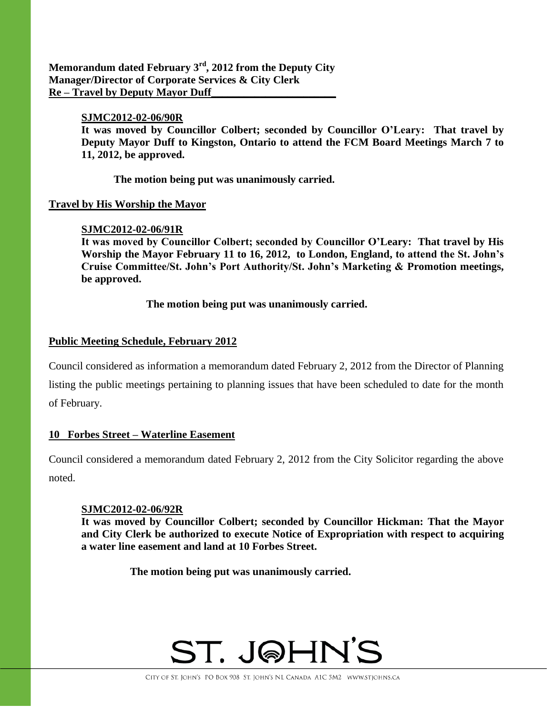**Memorandum dated February 3rd , 2012 from the Deputy City Manager/Director of Corporate Services & City Clerk Re – Travel by Deputy Mayor Duff\_\_\_\_\_\_\_\_\_\_\_\_\_\_\_\_\_\_\_\_\_\_\_**

### **SJMC2012-02-06/90R**

**It was moved by Councillor Colbert; seconded by Councillor O'Leary: That travel by Deputy Mayor Duff to Kingston, Ontario to attend the FCM Board Meetings March 7 to 11, 2012, be approved.** 

**The motion being put was unanimously carried.**

### **Travel by His Worship the Mayor**

### **SJMC2012-02-06/91R**

**It was moved by Councillor Colbert; seconded by Councillor O'Leary: That travel by His Worship the Mayor February 11 to 16, 2012, to London, England, to attend the St. John's Cruise Committee/St. John's Port Authority/St. John's Marketing & Promotion meetings, be approved.**

**The motion being put was unanimously carried.** 

## **Public Meeting Schedule, February 2012**

Council considered as information a memorandum dated February 2, 2012 from the Director of Planning listing the public meetings pertaining to planning issues that have been scheduled to date for the month of February.

### **10 Forbes Street – Waterline Easement**

Council considered a memorandum dated February 2, 2012 from the City Solicitor regarding the above noted.

### **SJMC2012-02-06/92R**

**It was moved by Councillor Colbert; seconded by Councillor Hickman: That the Mayor and City Clerk be authorized to execute Notice of Expropriation with respect to acquiring a water line easement and land at 10 Forbes Street.**

**The motion being put was unanimously carried.**

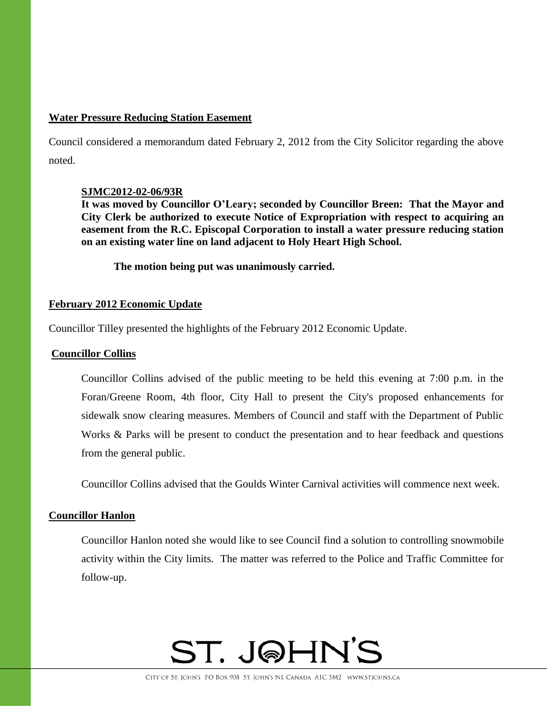### **Water Pressure Reducing Station Easement**

Council considered a memorandum dated February 2, 2012 from the City Solicitor regarding the above noted.

### **SJMC2012-02-06/93R**

**It was moved by Councillor O'Leary; seconded by Councillor Breen: That the Mayor and City Clerk be authorized to execute Notice of Expropriation with respect to acquiring an easement from the R.C. Episcopal Corporation to install a water pressure reducing station on an existing water line on land adjacent to Holy Heart High School.**

**The motion being put was unanimously carried.**

### **February 2012 Economic Update**

Councillor Tilley presented the highlights of the February 2012 Economic Update.

### **Councillor Collins**

Councillor Collins advised of the public meeting to be held this evening at 7:00 p.m. in the Foran/Greene Room, 4th floor, City Hall to present the City's proposed enhancements for sidewalk snow clearing measures. Members of Council and staff with the Department of Public Works & Parks will be present to conduct the presentation and to hear feedback and questions from the general public.

Councillor Collins advised that the Goulds Winter Carnival activities will commence next week.

### **Councillor Hanlon**

Councillor Hanlon noted she would like to see Council find a solution to controlling snowmobile activity within the City limits. The matter was referred to the Police and Traffic Committee for follow-up.

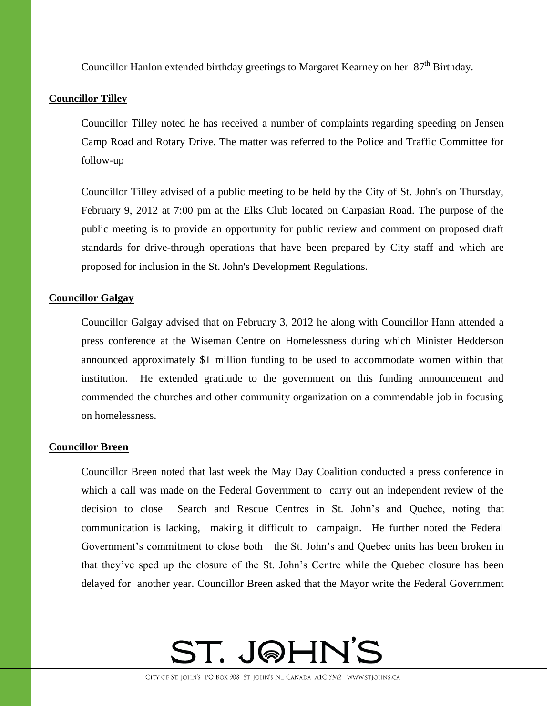Councillor Hanlon extended birthday greetings to Margaret Kearney on her  $87<sup>th</sup>$  Birthday.

## **Councillor Tilley**

Councillor Tilley noted he has received a number of complaints regarding speeding on Jensen Camp Road and Rotary Drive. The matter was referred to the Police and Traffic Committee for follow-up

Councillor Tilley advised of a public meeting to be held by the City of St. John's on Thursday, February 9, 2012 at 7:00 pm at the Elks Club located on Carpasian Road. The purpose of the public meeting is to provide an opportunity for public review and comment on proposed draft standards for drive-through operations that have been prepared by City staff and which are proposed for inclusion in the St. John's Development Regulations.

### **Councillor Galgay**

Councillor Galgay advised that on February 3, 2012 he along with Councillor Hann attended a press conference at the Wiseman Centre on Homelessness during which Minister Hedderson announced approximately \$1 million funding to be used to accommodate women within that institution. He extended gratitude to the government on this funding announcement and commended the churches and other community organization on a commendable job in focusing on homelessness.

### **Councillor Breen**

Councillor Breen noted that last week the May Day Coalition conducted a press conference in which a call was made on the Federal Government to carry out an independent review of the decision to close Search and Rescue Centres in St. John's and Quebec, noting that communication is lacking, making it difficult to campaign. He further noted the Federal Government's commitment to close both the St. John's and Quebec units has been broken in that they've sped up the closure of the St. John's Centre while the Quebec closure has been delayed for another year. Councillor Breen asked that the Mayor write the Federal Government

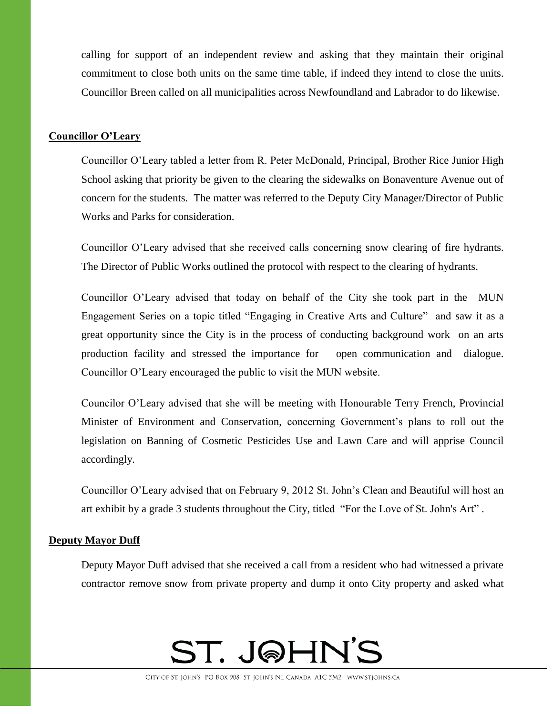calling for support of an independent review and asking that they maintain their original commitment to close both units on the same time table, if indeed they intend to close the units. Councillor Breen called on all municipalities across Newfoundland and Labrador to do likewise.

### **Councillor O'Leary**

Councillor O'Leary tabled a letter from R. Peter McDonald, Principal, Brother Rice Junior High School asking that priority be given to the clearing the sidewalks on Bonaventure Avenue out of concern for the students. The matter was referred to the Deputy City Manager/Director of Public Works and Parks for consideration.

Councillor O'Leary advised that she received calls concerning snow clearing of fire hydrants. The Director of Public Works outlined the protocol with respect to the clearing of hydrants.

Councillor O'Leary advised that today on behalf of the City she took part in the MUN Engagement Series on a topic titled "Engaging in Creative Arts and Culture" and saw it as a great opportunity since the City is in the process of conducting background work on an arts production facility and stressed the importance for open communication and dialogue. Councillor O'Leary encouraged the public to visit the MUN website.

Councilor O'Leary advised that she will be meeting with Honourable Terry French, Provincial Minister of Environment and Conservation, concerning Government's plans to roll out the legislation on Banning of Cosmetic Pesticides Use and Lawn Care and will apprise Council accordingly.

Councillor O'Leary advised that on February 9, 2012 St. John's Clean and Beautiful will host an art exhibit by a grade 3 students throughout the City, titled "For the Love of St. John's Art" .

### **Deputy Mayor Duff**

Deputy Mayor Duff advised that she received a call from a resident who had witnessed a private contractor remove snow from private property and dump it onto City property and asked what